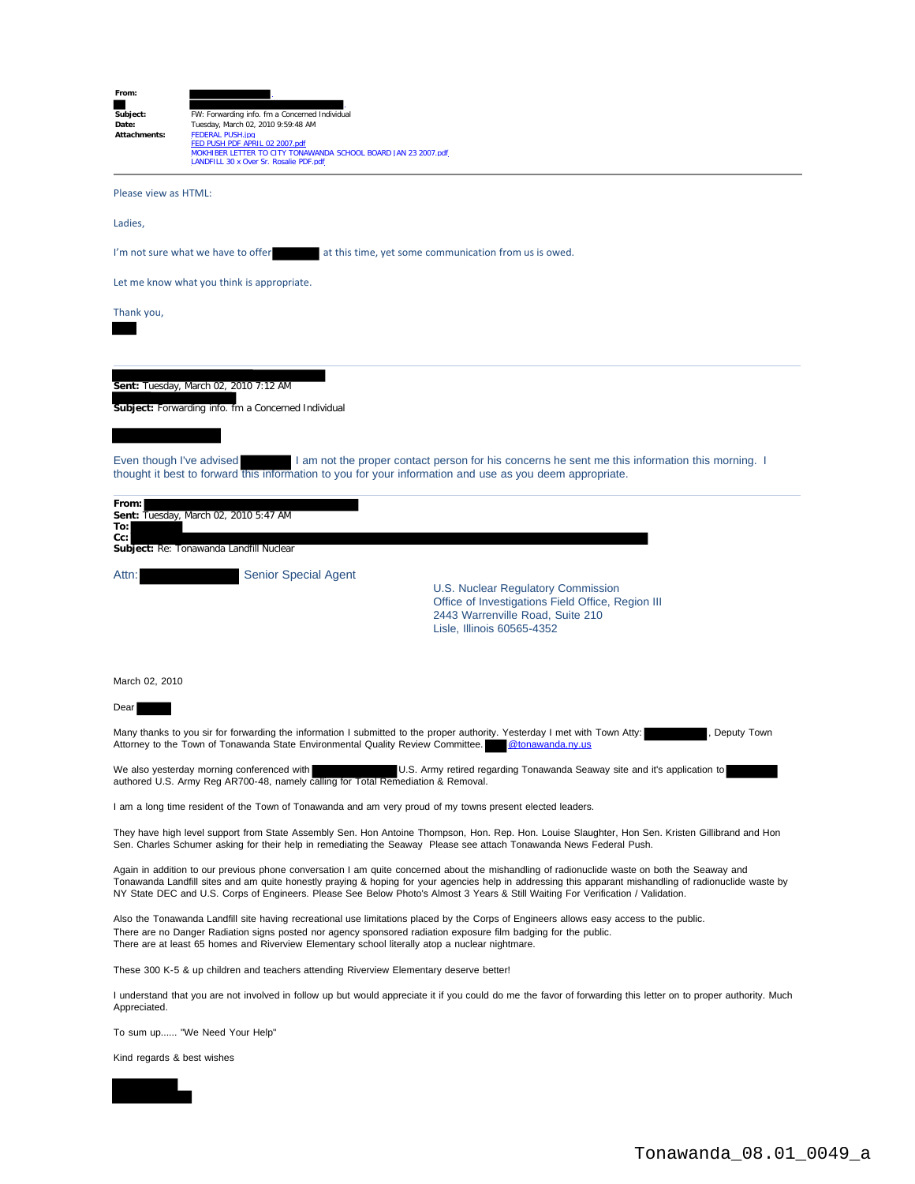| From:<br>Subject:<br>Date:<br>Attachments:                                                                                                                                                                                                       | FW: Forwarding info. fm a Concerned Individual<br>Tuesday, March 02, 2010 9:59:48 AM<br><b>FEDERAL PUSH.jpg</b><br>FED PUSH PDF APRIL 02 2007.pdf<br>MOKHIBER LETTER TO CITY TONAWANDA SCHOOL BOARD JAN 23 2007.pdf<br>LANDFILL 30 x Over Sr. Rosalie PDF.pdf                                                                                                                                                                               |
|--------------------------------------------------------------------------------------------------------------------------------------------------------------------------------------------------------------------------------------------------|---------------------------------------------------------------------------------------------------------------------------------------------------------------------------------------------------------------------------------------------------------------------------------------------------------------------------------------------------------------------------------------------------------------------------------------------|
| Please view as HTML:                                                                                                                                                                                                                             |                                                                                                                                                                                                                                                                                                                                                                                                                                             |
| Ladies,                                                                                                                                                                                                                                          |                                                                                                                                                                                                                                                                                                                                                                                                                                             |
| I'm not sure what we have to offer<br>at this time, yet some communication from us is owed.                                                                                                                                                      |                                                                                                                                                                                                                                                                                                                                                                                                                                             |
| Let me know what you think is appropriate.                                                                                                                                                                                                       |                                                                                                                                                                                                                                                                                                                                                                                                                                             |
| Thank you,                                                                                                                                                                                                                                       |                                                                                                                                                                                                                                                                                                                                                                                                                                             |
|                                                                                                                                                                                                                                                  | Sent: Tuesday, March 02, 2010 7:12 AM<br>Subject: Forwarding info. fm a Concerned Individual                                                                                                                                                                                                                                                                                                                                                |
| Even though I've advised                                                                                                                                                                                                                         | I am not the proper contact person for his concerns he sent me this information this morning. I<br>thought it best to forward this information to you for your information and use as you deem appropriate.                                                                                                                                                                                                                                 |
| From:<br>To:<br>Cc:                                                                                                                                                                                                                              | <b>Sent: Tuesday, March 02, 2010 5:47 AM</b><br>Subject: Re: Tonawanda Landfill Nuclear                                                                                                                                                                                                                                                                                                                                                     |
| Attn:                                                                                                                                                                                                                                            | <b>Senior Special Agent</b><br>U.S. Nuclear Regulatory Commission<br>Office of Investigations Field Office, Region III<br>2443 Warrenville Road, Suite 210<br>Lisle, Illinois 60565-4352                                                                                                                                                                                                                                                    |
| March 02, 2010                                                                                                                                                                                                                                   |                                                                                                                                                                                                                                                                                                                                                                                                                                             |
| Dear                                                                                                                                                                                                                                             |                                                                                                                                                                                                                                                                                                                                                                                                                                             |
| Many thanks to you sir for forwarding the information I submitted to the proper authority. Yesterday I met with Town Atty:<br>Deputy Town<br>Attorney to the Town of Tonawanda State Environmental Quality Review Committee.<br>@tonawanda.ny.us |                                                                                                                                                                                                                                                                                                                                                                                                                                             |
|                                                                                                                                                                                                                                                  | We also yesterday morning conferenced with<br>U.S. Army retired regarding Tonawanda Seaway site and it's application to<br>authored U.S. Army Reg AR700-48, namely calling for Total Remediation & Removal.                                                                                                                                                                                                                                 |
|                                                                                                                                                                                                                                                  | I am a long time resident of the Town of Tonawanda and am very proud of my towns present elected leaders.                                                                                                                                                                                                                                                                                                                                   |
|                                                                                                                                                                                                                                                  | They have high level support from State Assembly Sen. Hon Antoine Thompson, Hon. Rep. Hon. Louise Slaughter, Hon Sen. Kristen Gillibrand and Hon<br>Sen. Charles Schumer asking for their help in remediating the Seaway Please see attach Tonawanda News Federal Push.                                                                                                                                                                     |
|                                                                                                                                                                                                                                                  | Again in addition to our previous phone conversation I am quite concerned about the mishandling of radionuclide waste on both the Seaway and<br>Tonawanda Landfill sites and am quite honestly praying & hoping for your agencies help in addressing this apparant mishandling of radionuclide waste by<br>NY State DEC and U.S. Corps of Engineers. Please See Below Photo's Almost 3 Years & Still Waiting For Verification / Validation. |
|                                                                                                                                                                                                                                                  | Also the Tonawanda Landfill site having recreational use limitations placed by the Corps of Engineers allows easy access to the public.<br>There are no Danger Radiation signs posted nor agency sponsored radiation exposure film badging for the public.<br>There are at least 65 homes and Riverview Elementary school literally atop a nuclear nightmare.                                                                               |
| These 300 K-5 & up children and teachers attending Riverview Elementary deserve better!                                                                                                                                                          |                                                                                                                                                                                                                                                                                                                                                                                                                                             |
| Appreciated.                                                                                                                                                                                                                                     | I understand that you are not involved in follow up but would appreciate it if you could do me the favor of forwarding this letter on to proper authority. Much                                                                                                                                                                                                                                                                             |
| To sum up "We Need Your Help"                                                                                                                                                                                                                    |                                                                                                                                                                                                                                                                                                                                                                                                                                             |
| Kind regards & best wishes                                                                                                                                                                                                                       |                                                                                                                                                                                                                                                                                                                                                                                                                                             |
|                                                                                                                                                                                                                                                  |                                                                                                                                                                                                                                                                                                                                                                                                                                             |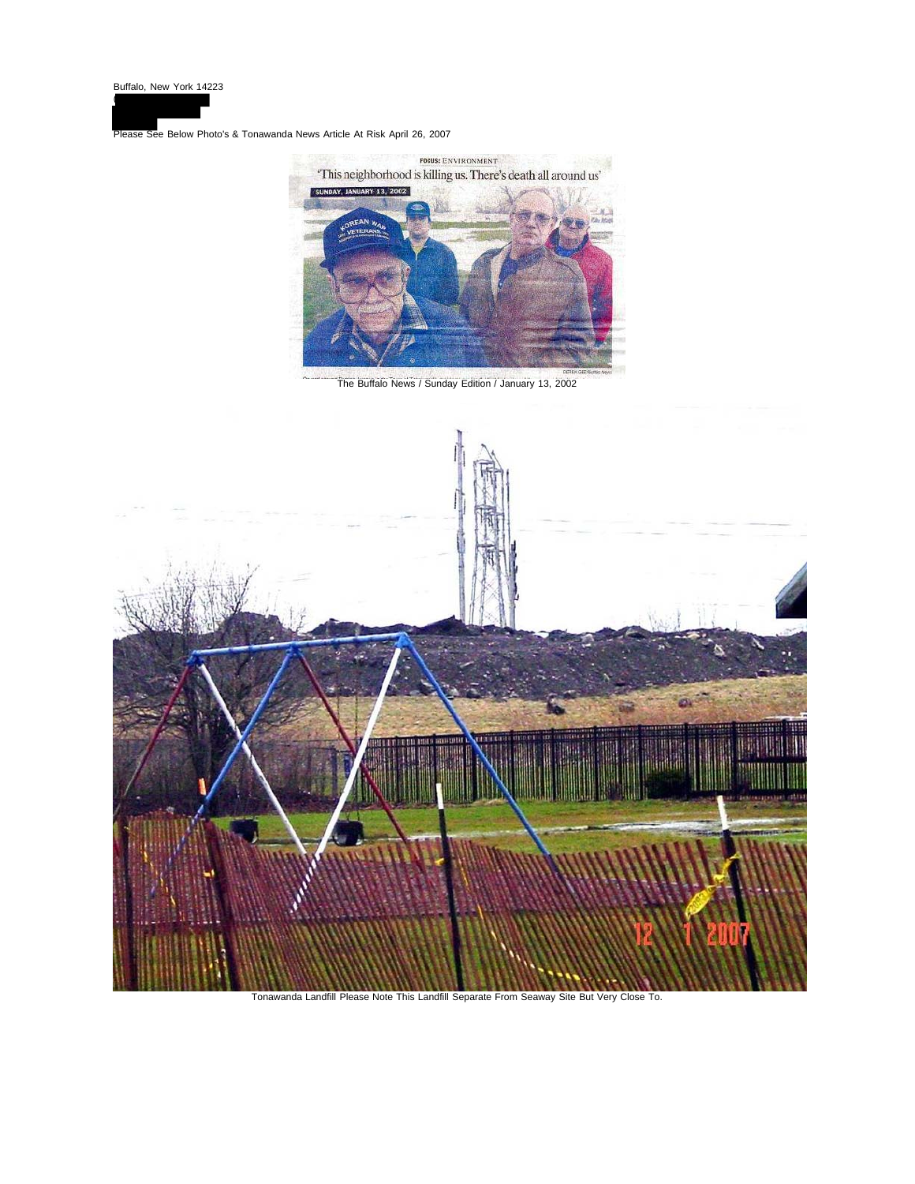(

Please See Below Photo's & Tonawanda News Article At Risk April 26, 2007



The Buffalo News / Sunday Edition / January 13, 2002



Tonawanda Landfill Please Note This Landfill Separate From Seaway Site But Very Close To.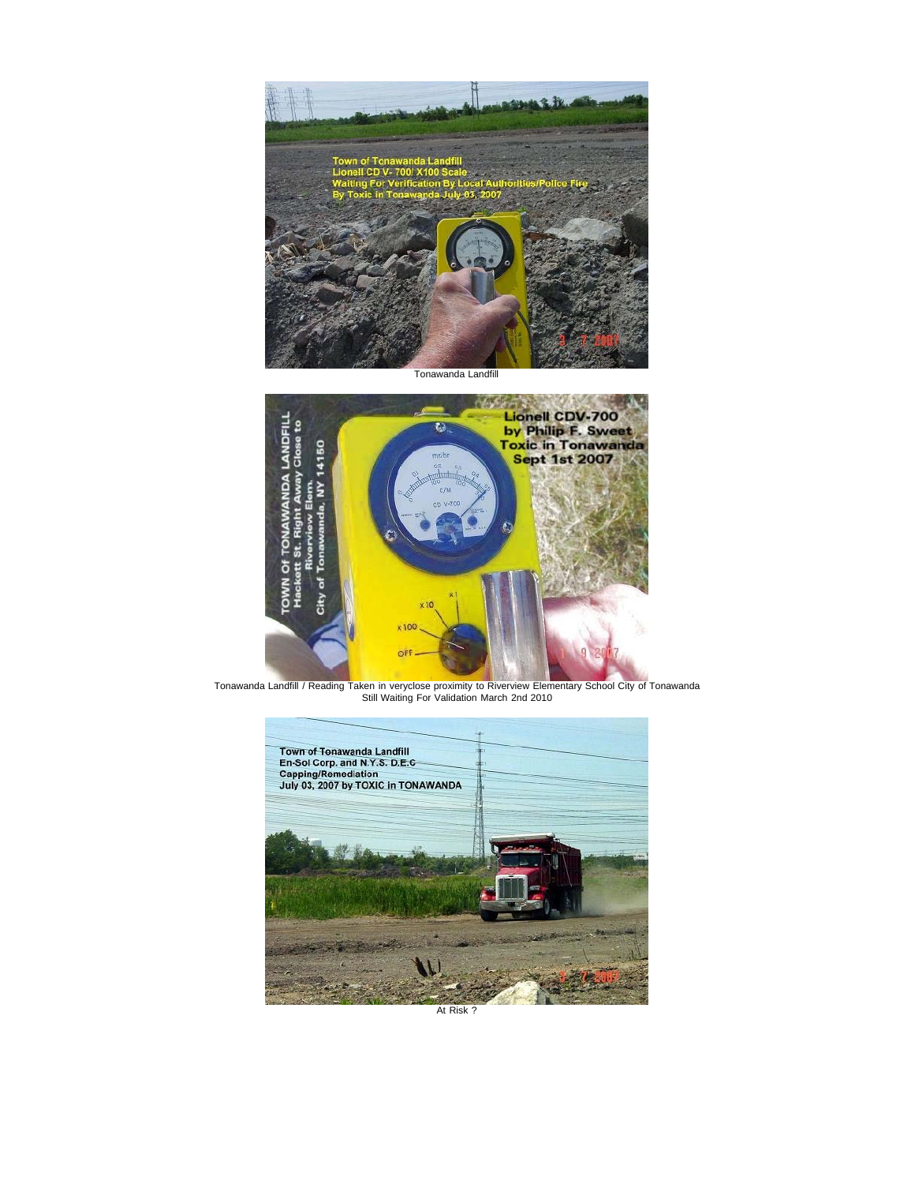

Tonawanda Landfill



Tonawanda Landfill / Reading Taken in veryclose proximity to Riverview Elementary School City of Tonawanda Still Waiting For Validation March 2nd 2010



At Risk ?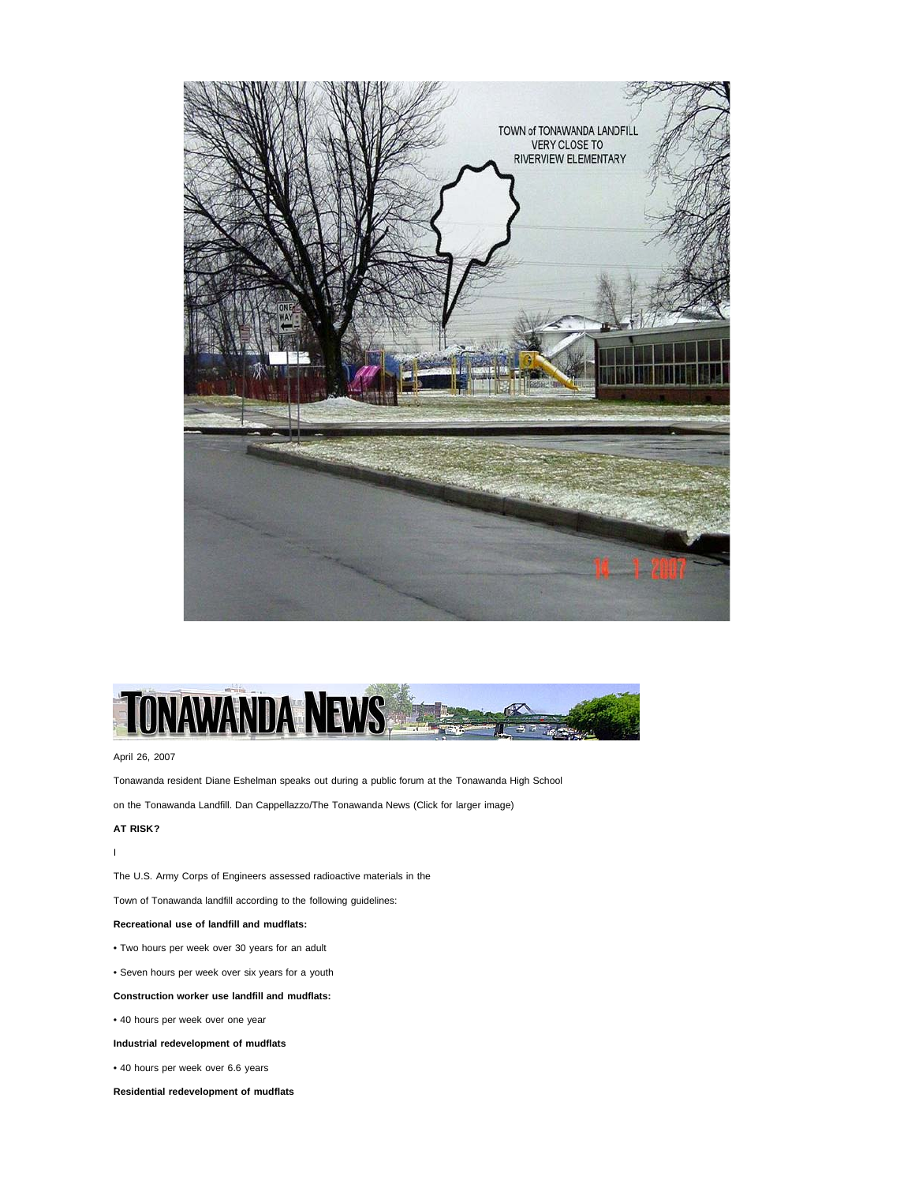



### April 26, 2007

Tonawanda resident Diane Eshelman speaks out during a public forum at the Tonawanda High School

on the Tonawanda Landfill. Dan Cappellazzo/The Tonawanda News (Click for larger image)

### **AT RISK?**

I

The U.S. Army Corps of Engineers assessed radioactive materials in the

Town of Tonawanda landfill according to the following guidelines:

## **Recreational use of landfill and mudflats:**

- Two hours per week over 30 years for an adult
- Seven hours per week over six years for a youth

# **Construction worker use landfill and mudflats:**

• 40 hours per week over one year

# **Industrial redevelopment of mudflats**

- 40 hours per week over 6.6 years
- **Residential redevelopment of mudflats**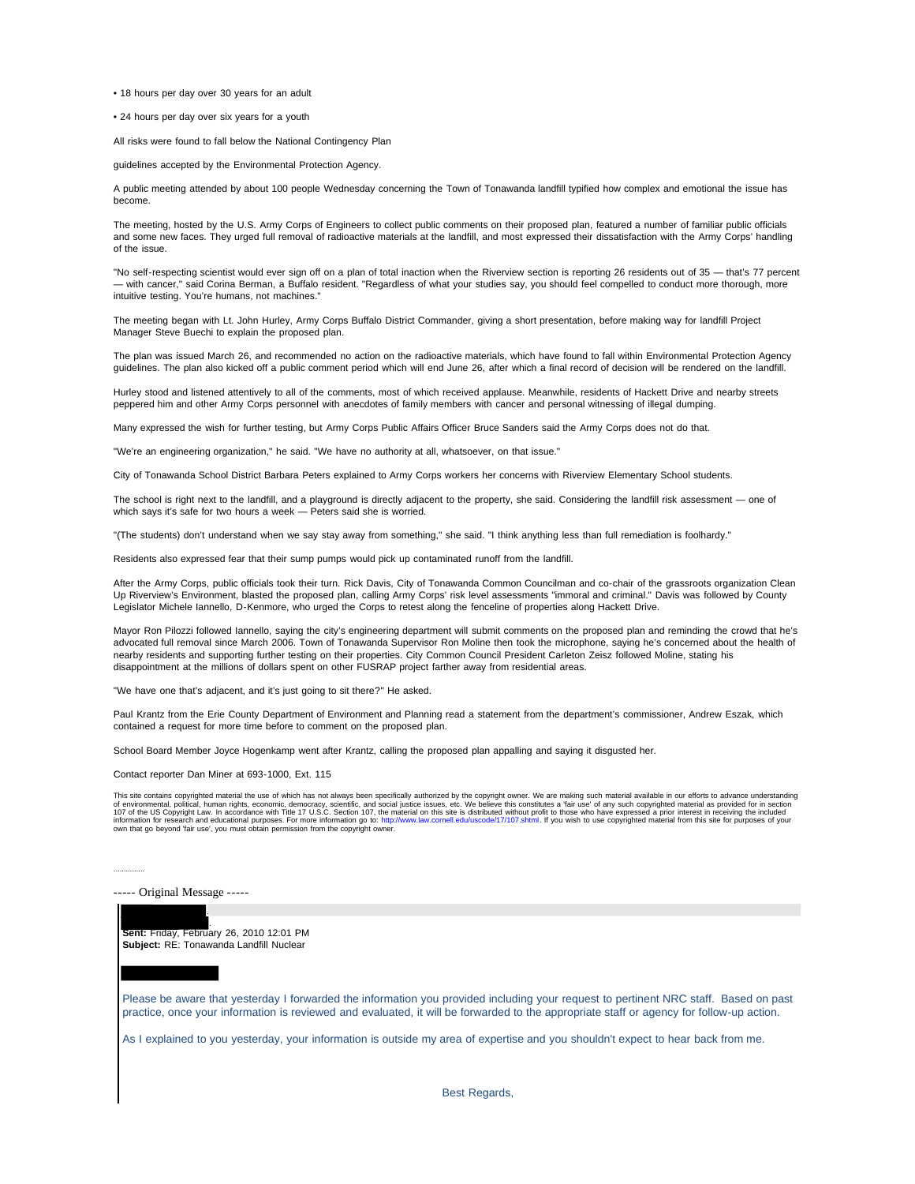• 18 hours per day over 30 years for an adult

• 24 hours per day over six years for a youth

All risks were found to fall below the National Contingency Plan

guidelines accepted by the Environmental Protection Agency.

A public meeting attended by about 100 people Wednesday concerning the Town of Tonawanda landfill typified how complex and emotional the issue has become.

The meeting, hosted by the U.S. Army Corps of Engineers to collect public comments on their proposed plan, featured a number of familiar public officials and some new faces. They urged full removal of radioactive materials at the landfill, and most expressed their dissatisfaction with the Army Corps' handling of the issue.

"No self-respecting scientist would ever sign off on a plan of total inaction when the Riverview section is reporting 26 residents out of 35 - that's 77 percent — with cancer," said Corina Berman, a Buffalo resident. "Regardless of what your studies say, you should feel compelled to conduct more thorough, more intuitive testing. You're humans, not machines."

The meeting began with Lt. John Hurley, Army Corps Buffalo District Commander, giving a short presentation, before making way for landfill Project Manager Steve Buechi to explain the proposed plan.

The plan was issued March 26, and recommended no action on the radioactive materials, which have found to fall within Environmental Protection Agency guidelines. The plan also kicked off a public comment period which will end June 26, after which a final record of decision will be rendered on the landfill.

Hurley stood and listened attentively to all of the comments, most of which received applause. Meanwhile, residents of Hackett Drive and nearby streets peppered him and other Army Corps personnel with anecdotes of family members with cancer and personal witnessing of illegal dumping.

Many expressed the wish for further testing, but Army Corps Public Affairs Officer Bruce Sanders said the Army Corps does not do that.

"We're an engineering organization," he said. "We have no authority at all, whatsoever, on that issue."

City of Tonawanda School District Barbara Peters explained to Army Corps workers her concerns with Riverview Elementary School students.

The school is right next to the landfill, and a playground is directly adjacent to the property, she said. Considering the landfill risk assessment — one of which says it's safe for two hours a week — Peters said she is worried.

"(The students) don't understand when we say stay away from something," she said. "I think anything less than full remediation is foolhardy."

Residents also expressed fear that their sump pumps would pick up contaminated runoff from the landfill.

After the Army Corps, public officials took their turn. Rick Davis, City of Tonawanda Common Councilman and co-chair of the grassroots organization Clean Up Riverview's Environment, blasted the proposed plan, calling Army Corps' risk level assessments "immoral and criminal." Davis was followed by County Legislator Michele Iannello, D-Kenmore, who urged the Corps to retest along the fenceline of properties along Hackett Drive.

Mayor Ron Pilozzi followed Iannello, saying the city's engineering department will submit comments on the proposed plan and reminding the crowd that he's advocated full removal since March 2006. Town of Tonawanda Supervisor Ron Moline then took the microphone, saying he's concerned about the health of nearby residents and supporting further testing on their properties. City Common Council President Carleton Zeisz followed Moline, stating his disappointment at the millions of dollars spent on other FUSRAP project farther away from residential areas.

"We have one that's adjacent, and it's just going to sit there?" He asked.

Paul Krantz from the Erie County Department of Environment and Planning read a statement from the department's commissioner, Andrew Eszak, which contained a request for more time before to comment on the proposed plan.

School Board Member Joyce Hogenkamp went after Krantz, calling the proposed plan appalling and saying it disgusted her.

Contact reporter Dan Miner at 693-1000, Ext. 115

...............

This site contains copyrighted material the use of which has not always been specifically authorized by the copyright owner. We are making such material available in our efforts to advance understanding<br>of environmental, p



Best Regards,